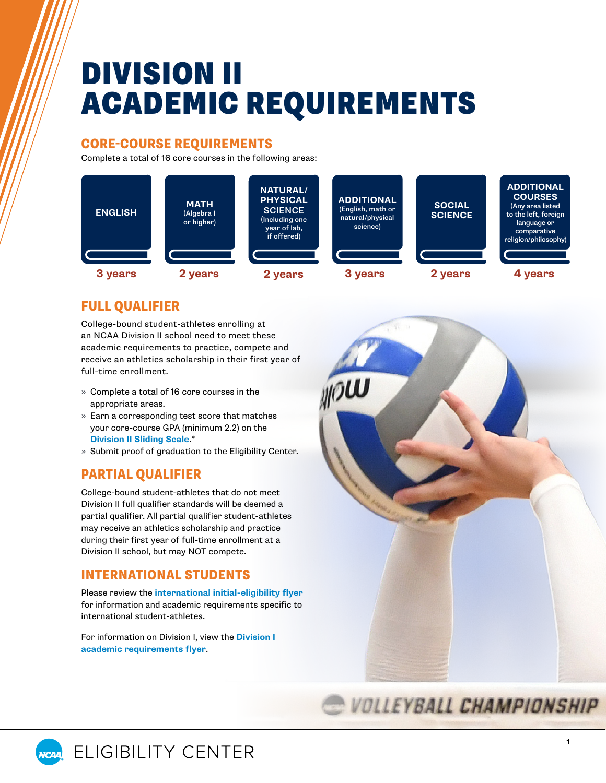# DIVISION II ACADEMIC REQUIREMENTS

#### CORE-COURSE REQUIREMENTS

Complete a total of 16 core courses in the following areas:



# FULL QUALIFIER

College-bound student-athletes enrolling at an NCAA Division II school need to meet these academic requirements to practice, compete and receive an athletics scholarship in their first year of full-time enrollment.

- » Complete a total of 16 core courses in the appropriate areas.
- » Earn a corresponding test score that matches your core-course GPA (minimum 2.2) on the **[Division II Sliding Scale](#page-1-0)**.\*
- » Submit proof of graduation to the Eligibility Center.

# PARTIAL QUALIFIER

College-bound student-athletes that do not meet Division II full qualifier standards will be deemed a partial qualifier. All partial qualifier student-athletes may receive an athletics scholarship and practice during their first year of full-time enrollment at a Division II school, but may NOT compete.

# INTERNATIONAL STUDENTS

Please review the **[international initial-eligibility flyer](https://on.ncaa.com/IntlIE)** for information and academic requirements specific to international student-athletes.

For information on Division I, view the **[Division I](https://on.ncaa.com/DIAcademicReq)  [academic requirements flyer](https://on.ncaa.com/DIAcademicReq)**.





**1**